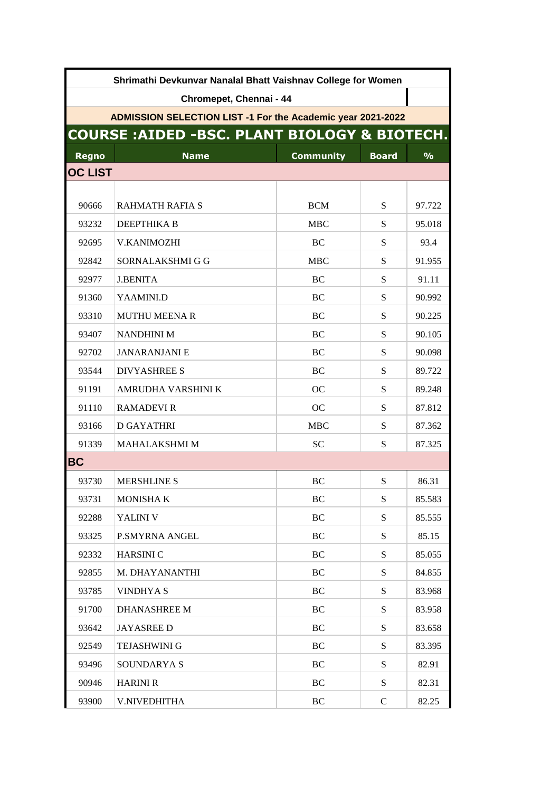| Shrimathi Devkunvar Nanalal Bhatt Vaishnav College for Women       |                                                         |                  |              |               |  |  |  |
|--------------------------------------------------------------------|---------------------------------------------------------|------------------|--------------|---------------|--|--|--|
| Chromepet, Chennai - 44                                            |                                                         |                  |              |               |  |  |  |
| <b>ADMISSION SELECTION LIST -1 For the Academic year 2021-2022</b> |                                                         |                  |              |               |  |  |  |
|                                                                    | <b>COURSE: AIDED -BSC. PLANT BIOLOGY &amp; BIOTECH.</b> |                  |              |               |  |  |  |
| <b>Regno</b>                                                       | <b>Name</b>                                             | <b>Community</b> | <b>Board</b> | $\frac{0}{0}$ |  |  |  |
| <b>OC LIST</b>                                                     |                                                         |                  |              |               |  |  |  |
|                                                                    |                                                         |                  |              |               |  |  |  |
| 90666                                                              | <b>RAHMATH RAFIA S</b>                                  | <b>BCM</b>       | S            | 97.722        |  |  |  |
| 93232                                                              | DEEPTHIKA B                                             | <b>MBC</b>       | S            | 95.018        |  |  |  |
| 92695                                                              | <b>V.KANIMOZHI</b>                                      | BC               | S            | 93.4          |  |  |  |
| 92842                                                              | SORNALAKSHMI G G                                        | <b>MBC</b>       | S            | 91.955        |  |  |  |
| 92977                                                              | <b>J.BENITA</b>                                         | <b>BC</b>        | S            | 91.11         |  |  |  |
| 91360                                                              | YAAMINI.D                                               | BC               | S            | 90.992        |  |  |  |
| 93310                                                              | <b>MUTHU MEENA R</b>                                    | <b>BC</b>        | S            | 90.225        |  |  |  |
| 93407                                                              | <b>NANDHINI M</b>                                       | <b>BC</b>        | S            | 90.105        |  |  |  |
| 92702                                                              | <b>JANARANJANI E</b>                                    | BC               | S            | 90.098        |  |  |  |
| 93544                                                              | <b>DIVYASHREE S</b>                                     | <b>BC</b>        | S            | 89.722        |  |  |  |
| 91191                                                              | AMRUDHA VARSHINI K                                      | <sub>OC</sub>    | S            | 89.248        |  |  |  |
| 91110                                                              | <b>RAMADEVIR</b>                                        | <b>OC</b>        | S            | 87.812        |  |  |  |
| 93166                                                              | <b>D GAYATHRI</b>                                       | <b>MBC</b>       | S            | 87.362        |  |  |  |
| 91339                                                              | <b>MAHALAKSHMI M</b>                                    | <b>SC</b>        | S            | 87.325        |  |  |  |
| <b>BC</b>                                                          |                                                         |                  |              |               |  |  |  |
| 93730                                                              | <b>MERSHLINE S</b>                                      | BC               | S            | 86.31         |  |  |  |
| 93731                                                              | <b>MONISHAK</b>                                         | BC               | ${\bf S}$    | 85.583        |  |  |  |
| 92288                                                              | YALINI V                                                | BC               | S            | 85.555        |  |  |  |
| 93325                                                              | <b>P.SMYRNA ANGEL</b>                                   | <b>BC</b>        | S            | 85.15         |  |  |  |
| 92332                                                              | <b>HARSINIC</b>                                         | BC               | S            | 85.055        |  |  |  |
| 92855                                                              | M. DHAYANANTHI                                          | BC               | S            | 84.855        |  |  |  |
| 93785                                                              | <b>VINDHYA S</b>                                        | BC               | ${\bf S}$    | 83.968        |  |  |  |
| 91700                                                              | <b>DHANASHREE M</b>                                     | BC               | S            | 83.958        |  |  |  |
| 93642                                                              | <b>JAYASREE D</b>                                       | BC               | S            | 83.658        |  |  |  |
| 92549                                                              | <b>TEJASHWINI G</b>                                     | <b>BC</b>        | S            | 83.395        |  |  |  |
| 93496                                                              | SOUNDARYA S                                             | BC               | S            | 82.91         |  |  |  |
| 90946                                                              | <b>HARINI R</b>                                         | BC               | S            | 82.31         |  |  |  |
| 93900                                                              | V.NIVEDHITHA                                            | BC               | $\mathsf{C}$ | 82.25         |  |  |  |